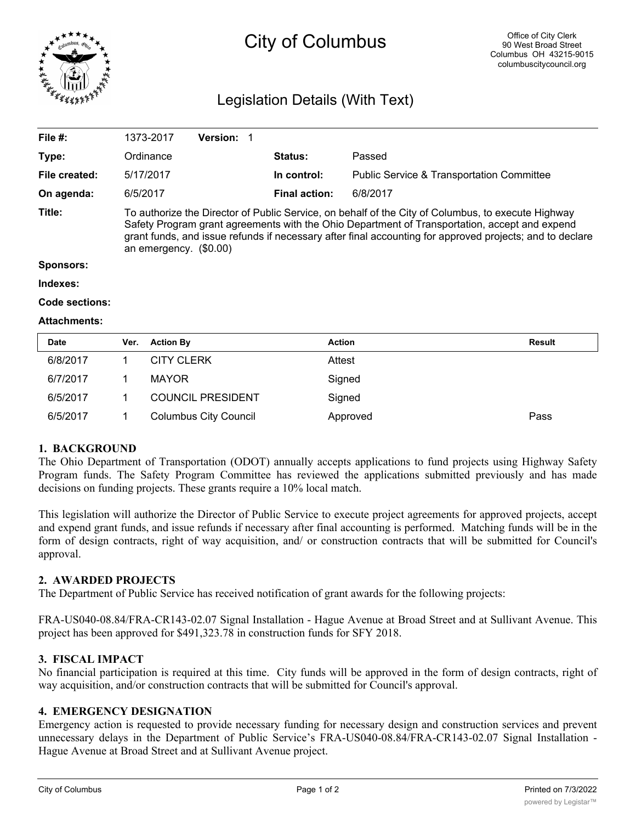

# City of Columbus

## Legislation Details (With Text)

| File $#$ :     | 1373-2017                                                                                                                                                                                                                                                                                                                                 | <b>Version:</b> |                      |                                                      |  |  |
|----------------|-------------------------------------------------------------------------------------------------------------------------------------------------------------------------------------------------------------------------------------------------------------------------------------------------------------------------------------------|-----------------|----------------------|------------------------------------------------------|--|--|
| Type:          | Ordinance                                                                                                                                                                                                                                                                                                                                 |                 | Status:              | Passed                                               |  |  |
| File created:  | 5/17/2017                                                                                                                                                                                                                                                                                                                                 |                 | In control:          | <b>Public Service &amp; Transportation Committee</b> |  |  |
| On agenda:     | 6/5/2017                                                                                                                                                                                                                                                                                                                                  |                 | <b>Final action:</b> | 6/8/2017                                             |  |  |
| Title:         | To authorize the Director of Public Service, on behalf of the City of Columbus, to execute Highway<br>Safety Program grant agreements with the Ohio Department of Transportation, accept and expend<br>grant funds, and issue refunds if necessary after final accounting for approved projects; and to declare<br>an emergency. (\$0.00) |                 |                      |                                                      |  |  |
| Sponsors:      |                                                                                                                                                                                                                                                                                                                                           |                 |                      |                                                      |  |  |
| Indexes:       |                                                                                                                                                                                                                                                                                                                                           |                 |                      |                                                      |  |  |
| Code sections: |                                                                                                                                                                                                                                                                                                                                           |                 |                      |                                                      |  |  |

#### **Attachments:**

| <b>Date</b> | Ver. | <b>Action By</b>             | <b>Action</b> | <b>Result</b> |
|-------------|------|------------------------------|---------------|---------------|
| 6/8/2017    |      | <b>CITY CLERK</b>            | Attest        |               |
| 6/7/2017    |      | <b>MAYOR</b>                 | Signed        |               |
| 6/5/2017    |      | <b>COUNCIL PRESIDENT</b>     | Signed        |               |
| 6/5/2017    |      | <b>Columbus City Council</b> | Approved      | Pass          |

#### **1. BACKGROUND**

The Ohio Department of Transportation (ODOT) annually accepts applications to fund projects using Highway Safety Program funds. The Safety Program Committee has reviewed the applications submitted previously and has made decisions on funding projects. These grants require a 10% local match.

This legislation will authorize the Director of Public Service to execute project agreements for approved projects, accept and expend grant funds, and issue refunds if necessary after final accounting is performed. Matching funds will be in the form of design contracts, right of way acquisition, and/ or construction contracts that will be submitted for Council's approval.

#### **2. AWARDED PROJECTS**

The Department of Public Service has received notification of grant awards for the following projects:

FRA-US040-08.84/FRA-CR143-02.07 Signal Installation - Hague Avenue at Broad Street and at Sullivant Avenue. This project has been approved for \$491,323.78 in construction funds for SFY 2018.

#### **3. FISCAL IMPACT**

No financial participation is required at this time. City funds will be approved in the form of design contracts, right of way acquisition, and/or construction contracts that will be submitted for Council's approval.

#### **4. EMERGENCY DESIGNATION**

Emergency action is requested to provide necessary funding for necessary design and construction services and prevent unnecessary delays in the Department of Public Service's FRA-US040-08.84/FRA-CR143-02.07 Signal Installation - Hague Avenue at Broad Street and at Sullivant Avenue project.